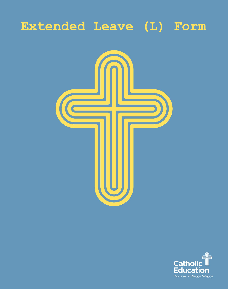# **Extended Leave (L) Form**



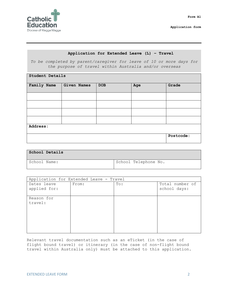

#### **Application for Extended Leave (L) – Travel**

*To be completed by parent/caregiver for leave of 10 or more days for the purpose of travel within Australia and/or overseas*

| Student Details |                    |            |     |           |  |
|-----------------|--------------------|------------|-----|-----------|--|
| Family Name     | <b>Given Names</b> | <b>DOB</b> | Age | Grade     |  |
|                 |                    |            |     |           |  |
|                 |                    |            |     |           |  |
|                 |                    |            |     |           |  |
|                 |                    |            |     |           |  |
| Address:        |                    |            |     |           |  |
|                 |                    |            |     | Postcode: |  |

| School Details |                      |
|----------------|----------------------|
| School Name:   | School Telephone No. |

| Application for Extended Leave - Travel |       |     |                                 |  |  |
|-----------------------------------------|-------|-----|---------------------------------|--|--|
| Dates leave<br>applied for:             | From: | To: | Total number of<br>school days: |  |  |
| Reason for<br>travel:                   |       |     |                                 |  |  |

Relevant travel documentation such as an eTicket (in the case of flight bound travel) or itinerary (in the case of non-flight bound travel within Australia only) must be attached to this application.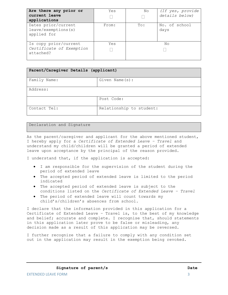| Are there any prior or<br>current leave<br>applications        | Yes   | No           | (If yes, provide<br>details below) |
|----------------------------------------------------------------|-------|--------------|------------------------------------|
| Dates prior/current<br>leave/exemptions(s)<br>applied for      | From: | $\text{To}:$ | No. of school<br>days              |
| Is copy prior/current<br>Certificate of Exemption<br>attached? | Yes   |              | Nο                                 |

| Parent/Caregiver Details (applicant) |                          |  |  |  |
|--------------------------------------|--------------------------|--|--|--|
| Family Name:                         | Given Name(s):           |  |  |  |
| Address:                             |                          |  |  |  |
|                                      | Post Code:               |  |  |  |
| Contact Tel:                         | Relationship to student: |  |  |  |

#### Declaration and Signature

As the parent/caregiver and applicant for the above mentioned student, I hereby apply for a *Certificate of Extended Leave – Travel* and understand my child/children will be granted a period of extended leave upon acceptance by the principal of the reason provided.

I understand that, if the application is accepted:

- I am responsible for the supervision of the student during the period of extended leave
- The accepted period of extended leave is limited to the period indicated
- The accepted period of extended leave is subject to the conditions listed on the *Certificate of Extended Leave – Travel*
- The period of extended leave will count towards my child's/children's absences from school.

I declare that the information provided in this application for a Certificate of Extended Leave – Travel is, to the best of my knowledge and belief; accurate and complete. I recognise that, should statements in this application later prove to be false or misleading, any decision made as a result of this application may be reversed.

I further recognize that a failure to comply with any condition set out in the application may result in the exemption being revoked.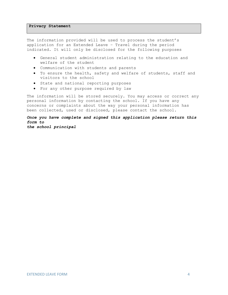### **Privacy Statement**

The information provided will be used to process the student's application for an Extended Leave – Travel during the period indicated. It will only be disclosed for the following purposes

- General student administration relating to the education and welfare of the student
- Communication with students and parents
- To ensure the health, safety and welfare of students, staff and visitors to the school
- State and national reporting purposes
- For any other purpose required by law

The information will be stored securely. You may access or correct any personal information by contacting the school. If you have any concerns or complaints about the way your personal information has been collected, used or disclosed, please contact the school.

*Once you have complete and signed this application please return this form to the school principal*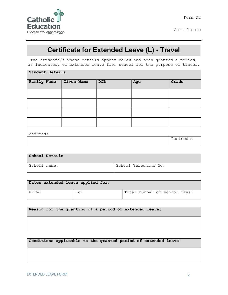

Certificate

## **Certificate for Extended Leave (L) - Travel**

The students/s whose details appear below has been granted a period, as indicated, of extended leave from school for the purpose of travel.

| <b>Student Details</b> |            |            |     |       |  |
|------------------------|------------|------------|-----|-------|--|
| Family Name            | Given Name | <b>DOB</b> | Age | Grade |  |
|                        |            |            |     |       |  |
|                        |            |            |     |       |  |
|                        |            |            |     |       |  |
|                        |            |            |     |       |  |
| Address:               |            |            |     |       |  |
|                        |            | Postcode:  |     |       |  |

| School Details |                      |
|----------------|----------------------|
| School name:   | School Telephone No. |

| Dates extended leave applied for: |              |                              |
|-----------------------------------|--------------|------------------------------|
| From:                             | $\text{To:}$ | Total number of school days: |

|  |  |  |  | Reason for the granting of a period of extended leave: |
|--|--|--|--|--------------------------------------------------------|
|  |  |  |  |                                                        |

**Conditions applicable to the granted period of extended leave:**